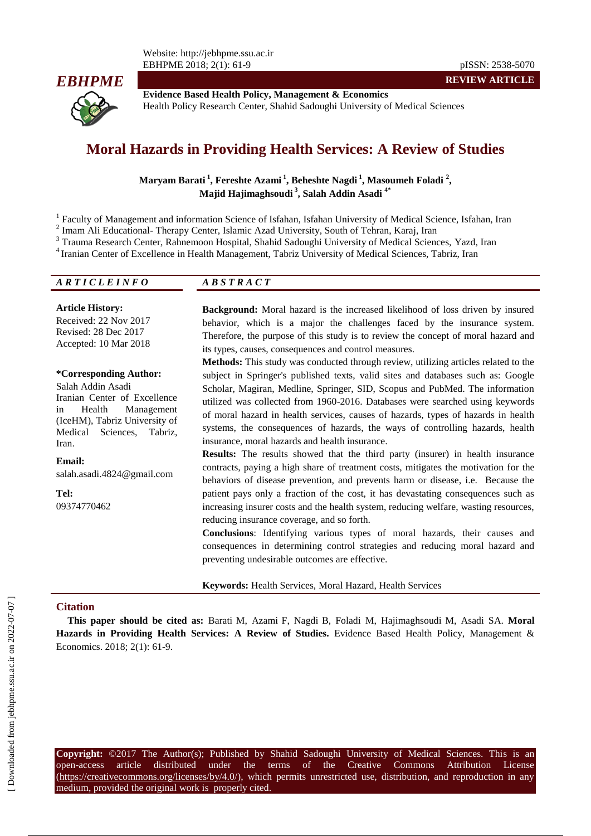

**Evidence Based Health Policy, Management & Economics** Health Policy Research Center, Shahid Sadoughi University of Medical Sciences

# **Moral Hazards in Providing Health Services: A Review of Studies**

**Maryam Barati <sup>1</sup> , Fereshte Azami <sup>1</sup> , Beheshte Nagdi <sup>1</sup> , Masoumeh Foladi <sup>2</sup> , Majid Hajimaghsoudi <sup>3</sup> , Salah Addin Asadi 4\***

<sup>1</sup> Faculty of Management and information Science of Isfahan, Isfahan University of Medical Science, Isfahan, Iran

<sup>2</sup> Imam Ali Educational- Therapy Center, Islamic Azad University, South of Tehran, Karaj, Iran

<sup>3</sup> Trauma Research Center, Rahnemoon Hospital, Shahid Sadoughi University of Medical Sciences, Yazd, Iran

4 Iranian Center of Excellence in Health Management, Tabriz University of Medical Sciences, Tabriz, Iran

## *A R T I C L E I N F O A B S T R A C T*

#### **Article History:**

Received: 22 Nov 2017 Revised: 28 Dec 2017 Accepted: 10 Mar 2018

#### **\*Corresponding Author:**

Salah Addin Asadi Iranian Center of Excellence in Health Management (IceHM), Tabriz University of Medical Sciences, Tabriz, Iran.

**Email:** salah.asadi.4824@gmail.com

**Tel:** 09374770462 **Background:** Moral hazard is the increased likelihood of loss driven by insured behavior, which is a major the challenges faced by the insurance system. Therefore, the purpose of this study is to review the concept of moral hazard and its types, causes, consequences and control measures.

**REVIEW ARTICLE**

**Methods:** This study was conducted through review, utilizing articles related to the subject in Springer's published texts, valid sites and databases such as: Google Scholar, Magiran, Medline, Springer, SID, Scopus and PubMed. The information utilized was collected from 1960-2016. Databases were searched using keywords of moral hazard in health services, causes of hazards, types of hazards in health systems, the consequences of hazards, the ways of controlling hazards, health insurance, moral hazards and health insurance.

**Results:** The results showed that the third party (insurer) in health insurance contracts, paying a high share of treatment costs, mitigates the motivation for the behaviors of disease prevention, and prevents harm or disease, i.e. Because the patient pays only a fraction of the cost, it has devastating consequences such as increasing insurer costs and the health system, reducing welfare, wasting resources, reducing insurance coverage, and so forth.

**Conclusions**: Identifying various types of moral hazards, their causes and consequences in determining control strategies and reducing moral hazard and preventing undesirable outcomes are effective.

**Keywords:** Health Services, Moral Hazard, Health Services

#### **Citation**

**This paper should be cited as:** Barati M, Azami F, Nagdi B, Foladi M, Hajimaghsoudi M, Asadi SA. **Moral Hazards in Providing Health Services: A Review of Studies.** Evidence Based Health Policy, Management & Economics. 2018; 2(1): 61-9.

**Copyright:** ©2017 The Author(s); Published by Shahid Sadoughi University of Medical Sciences. This is an open-access article distributed under the terms of the Creative Commons Attribution License (https://creativecommons.org/licenses/by/4.0/), which permits unrestricted use, distribution, and reproduction in any medium, provided the original work is properly cited.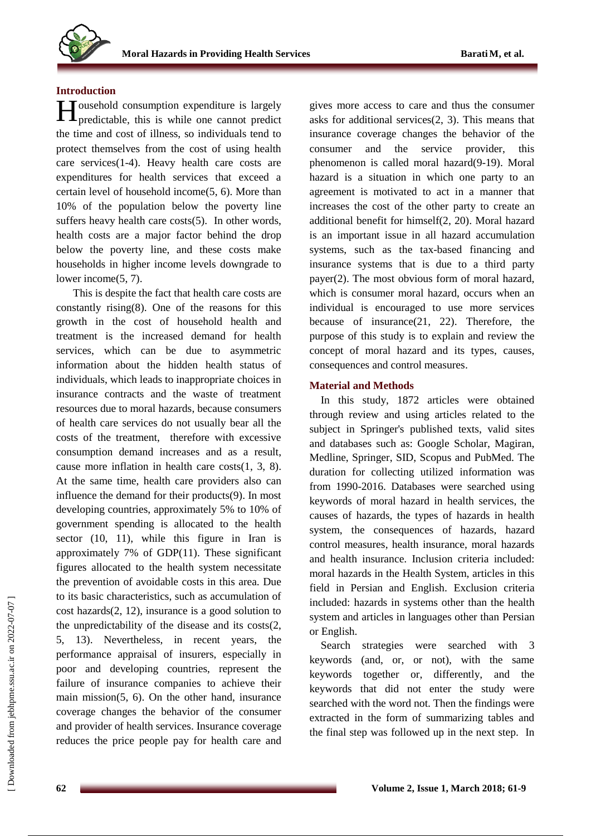## **Introduction**

**H**ousehold consumption expenditure is largely predictable, this is while one cannot predict predictable, this is while one cannot predict the time and cost of illness, so individuals tend to protect themselves from the cost of using health care services(1-4). Heavy health care costs are expenditures for health services that exceed a certain level of household income(5, 6). More than 10% of the population below the poverty line suffers heavy health care costs(5). In other words, health costs are a major factor behind the drop below the poverty line, and these costs make households in higher income levels downgrade to lower income(5, 7).

This is despite the fact that health care costs are constantly rising $(8)$ . One of the reasons for this growth in the cost of household health and treatment is the increased demand for health services, which can be due to asymmetric information about the hidden health status of individuals, which leads to inappropriate choices in insurance contracts and the waste of treatment resources due to moral hazards, because consumers of health care services do not usually bear all the costs of the treatment, therefore with excessive consumption demand increases and as a result, cause more inflation in health care costs(1, 3, 8). At the same time, health care providers also can influence the demand for their products(9). In most developing countries, approximately 5% to 10% of government spending is allocated to the health sector (10, 11), while this figure in Iran is approximately 7% of GDP(11). These significant figures allocated to the health system necessitate the prevention of avoidable costs in this area. Due to its basic characteristics, such as accumulation of cost hazards(2, 12), insurance is a good solution to the unpredictability of the disease and its costs(2, 5, 13). Nevertheless, in recent years, the performance appraisal of insurers, especially in poor and developing countries, represent the failure of insurance companies to achieve their main mission(5, 6). On the other hand, insurance coverage changes the behavior of the consumer and provider of health services. Insurance coverage reduces the price people pay for health care and

gives more access to care and thus the consumer asks for additional services(2, 3). This means that insurance coverage changes the behavior of the consumer and the service provider, this phenomenon is called moral hazard(9-19). Moral hazard is a situation in which one party to an agreement is motivated to act in a manner that increases the cost of the other party to create an additional benefit for himself(2, 20). Moral hazard is an important issue in all hazard accumulation systems, such as the tax-based financing and insurance systems that is due to a third party payer(2). The most obvious form of moral hazard, which is consumer moral hazard, occurs when an individual is encouraged to use more services because of insurance(21, 22). Therefore, the purpose of this study is to explain and review the concept of moral hazard and its types, causes, consequences and control measures.

# **Material and Methods**

In this study, 1872 articles were obtained through review and using articles related to the subject in Springer's published texts, valid sites and databases such as: Google Scholar, Magiran, Medline, Springer, SID, Scopus and PubMed. The duration for collecting utilized information was from 1990-2016. Databases were searched using keywords of moral hazard in health services, the causes of hazards, the types of hazards in health system, the consequences of hazards, hazard control measures, health insurance, moral hazards and health insurance. Inclusion criteria included: moral hazards in the Health System, articles in this field in Persian and English. Exclusion criteria included: hazards in systems other than the health system and articles in languages other than Persian or English.

Search strategies were searched with 3 keywords (and, or, or not), with the same keywords together or, differently, and the keywords that did not enter the study were searched with the word not. Then the findings were extracted in the form of summarizing tables and the final step was followed up in the next step. In

 [\[ Downloaded from jebhpme.ssu.ac.ir on 2](https://jebhpme.ssu.ac.ir/article-1-131-en.html)022-07-07 ] Downloaded from jebhpme.ssu.ac.ir on 2022-07-07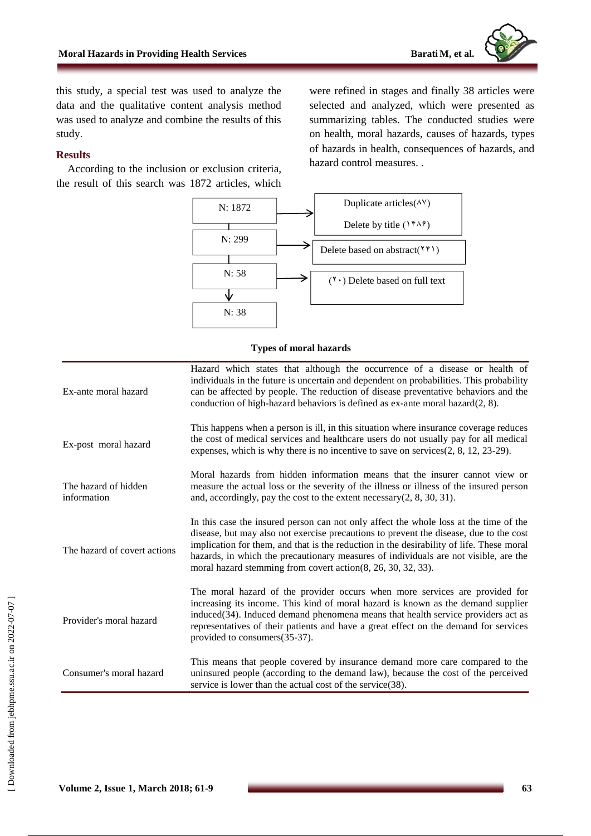this study, a special test was used to analyze the data and the qualitative content analysis method was used to analyze and combine the results of this study.

# **Results**

According to the inclusion or exclusion criteria, the result of this search was 1872 articles, which were refined in stages and finally 38 articles were selected and analyzed, which were presented as summarizing tables. The conducted studies were on health, moral hazards, causes of hazards, types of hazards in health, consequences of hazards, and hazard control measures. .



### **Types of moral hazards**

| Ex-ante moral hazard                | Hazard which states that although the occurrence of a disease or health of<br>individuals in the future is uncertain and dependent on probabilities. This probability<br>can be affected by people. The reduction of disease preventative behaviors and the<br>conduction of high-hazard behaviors is defined as ex-ante moral hazard(2, 8).                                                                                        |
|-------------------------------------|-------------------------------------------------------------------------------------------------------------------------------------------------------------------------------------------------------------------------------------------------------------------------------------------------------------------------------------------------------------------------------------------------------------------------------------|
| Ex-post moral hazard                | This happens when a person is ill, in this situation where insurance coverage reduces<br>the cost of medical services and healthcare users do not usually pay for all medical<br>expenses, which is why there is no incentive to save on services $(2, 8, 12, 23-29)$ .                                                                                                                                                             |
| The hazard of hidden<br>information | Moral hazards from hidden information means that the insurer cannot view or<br>measure the actual loss or the severity of the illness or illness of the insured person<br>and, accordingly, pay the cost to the extent necessary $(2, 8, 30, 31)$ .                                                                                                                                                                                 |
| The hazard of covert actions        | In this case the insured person can not only affect the whole loss at the time of the<br>disease, but may also not exercise precautions to prevent the disease, due to the cost<br>implication for them, and that is the reduction in the desirability of life. These moral<br>hazards, in which the precautionary measures of individuals are not visible, are the<br>moral hazard stemming from covert action(8, 26, 30, 32, 33). |
| Provider's moral hazard             | The moral hazard of the provider occurs when more services are provided for<br>increasing its income. This kind of moral hazard is known as the demand supplier<br>induced(34). Induced demand phenomena means that health service providers act as<br>representatives of their patients and have a great effect on the demand for services<br>provided to consumers(35-37).                                                        |
| Consumer's moral hazard             | This means that people covered by insurance demand more care compared to the<br>uninsured people (according to the demand law), because the cost of the perceived<br>service is lower than the actual cost of the service(38).                                                                                                                                                                                                      |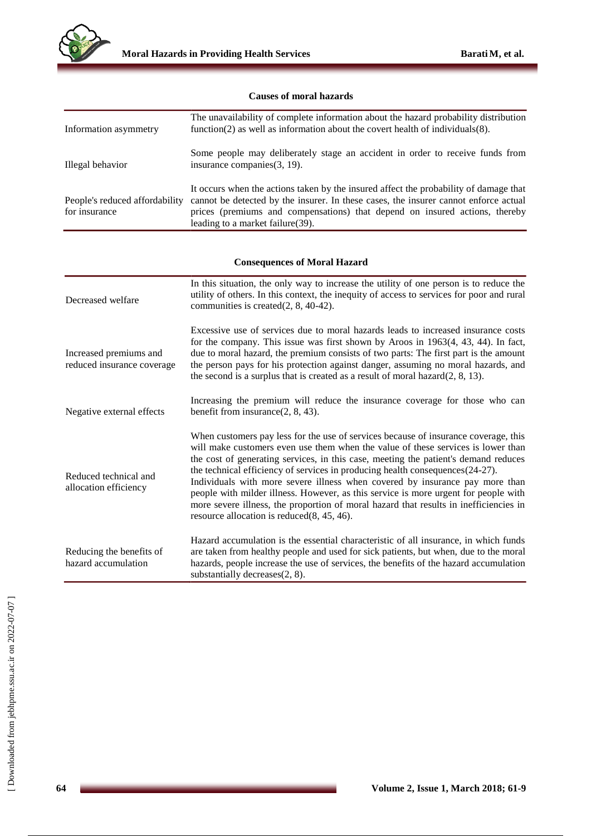

# **Causes of moral hazards**

| Information asymmetry                                | The unavailability of complete information about the hazard probability distribution<br>function(2) as well as information about the covert health of individuals(8).                                                                                                                                                                                                                                                                                                                                                                                                                                                                                             |  |
|------------------------------------------------------|-------------------------------------------------------------------------------------------------------------------------------------------------------------------------------------------------------------------------------------------------------------------------------------------------------------------------------------------------------------------------------------------------------------------------------------------------------------------------------------------------------------------------------------------------------------------------------------------------------------------------------------------------------------------|--|
| Illegal behavior                                     | Some people may deliberately stage an accident in order to receive funds from<br>insurance companies(3, 19).                                                                                                                                                                                                                                                                                                                                                                                                                                                                                                                                                      |  |
| People's reduced affordability<br>for insurance      | It occurs when the actions taken by the insured affect the probability of damage that<br>cannot be detected by the insurer. In these cases, the insurer cannot enforce actual<br>prices (premiums and compensations) that depend on insured actions, thereby<br>leading to a market failure(39).                                                                                                                                                                                                                                                                                                                                                                  |  |
|                                                      |                                                                                                                                                                                                                                                                                                                                                                                                                                                                                                                                                                                                                                                                   |  |
| <b>Consequences of Moral Hazard</b>                  |                                                                                                                                                                                                                                                                                                                                                                                                                                                                                                                                                                                                                                                                   |  |
| Decreased welfare                                    | In this situation, the only way to increase the utility of one person is to reduce the<br>utility of others. In this context, the inequity of access to services for poor and rural<br>communities is created(2, 8, 40-42).                                                                                                                                                                                                                                                                                                                                                                                                                                       |  |
| Increased premiums and<br>reduced insurance coverage | Excessive use of services due to moral hazards leads to increased insurance costs<br>for the company. This issue was first shown by Aroos in 1963(4, 43, 44). In fact,<br>due to moral hazard, the premium consists of two parts: The first part is the amount<br>the person pays for his protection against danger, assuming no moral hazards, and<br>the second is a surplus that is created as a result of moral hazard $(2, 8, 13)$ .                                                                                                                                                                                                                         |  |
| Negative external effects                            | Increasing the premium will reduce the insurance coverage for those who can<br>benefit from insurance $(2, 8, 43)$ .                                                                                                                                                                                                                                                                                                                                                                                                                                                                                                                                              |  |
| Reduced technical and<br>allocation efficiency       | When customers pay less for the use of services because of insurance coverage, this<br>will make customers even use them when the value of these services is lower than<br>the cost of generating services, in this case, meeting the patient's demand reduces<br>the technical efficiency of services in producing health consequences(24-27).<br>Individuals with more severe illness when covered by insurance pay more than<br>people with milder illness. However, as this service is more urgent for people with<br>more severe illness, the proportion of moral hazard that results in inefficiencies in<br>resource allocation is reduced $(8, 45, 46)$ . |  |
| Reducing the benefits of<br>hazard accumulation      | Hazard accumulation is the essential characteristic of all insurance, in which funds<br>are taken from healthy people and used for sick patients, but when, due to the moral<br>hazards, people increase the use of services, the benefits of the hazard accumulation<br>substantially decreases(2, 8).                                                                                                                                                                                                                                                                                                                                                           |  |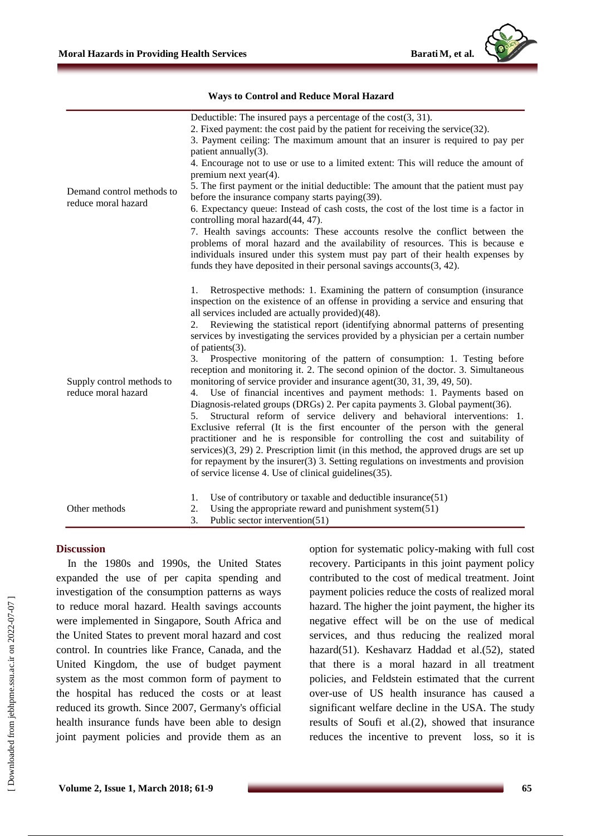

| Demand control methods to<br>reduce moral hazard | Deductible: The insured pays a percentage of the $cost(3, 31)$ .<br>2. Fixed payment: the cost paid by the patient for receiving the service(32).<br>3. Payment ceiling: The maximum amount that an insurer is required to pay per<br>patient annually(3).<br>4. Encourage not to use or use to a limited extent: This will reduce the amount of<br>premium next year $(4)$ .<br>5. The first payment or the initial deductible: The amount that the patient must pay<br>before the insurance company starts paying(39).<br>6. Expectancy queue: Instead of cash costs, the cost of the lost time is a factor in<br>controlling moral hazard(44, 47).<br>7. Health savings accounts: These accounts resolve the conflict between the<br>problems of moral hazard and the availability of resources. This is because e<br>individuals insured under this system must pay part of their health expenses by<br>funds they have deposited in their personal savings accounts $(3, 42)$ .                                                                                                                                                                                                                                                                                                                                                       |
|--------------------------------------------------|--------------------------------------------------------------------------------------------------------------------------------------------------------------------------------------------------------------------------------------------------------------------------------------------------------------------------------------------------------------------------------------------------------------------------------------------------------------------------------------------------------------------------------------------------------------------------------------------------------------------------------------------------------------------------------------------------------------------------------------------------------------------------------------------------------------------------------------------------------------------------------------------------------------------------------------------------------------------------------------------------------------------------------------------------------------------------------------------------------------------------------------------------------------------------------------------------------------------------------------------------------------------------------------------------------------------------------------------|
| Supply control methods to<br>reduce moral hazard | Retrospective methods: 1. Examining the pattern of consumption (insurance<br>1.<br>inspection on the existence of an offense in providing a service and ensuring that<br>all services included are actually provided)(48).<br>Reviewing the statistical report (identifying abnormal patterns of presenting<br>2.<br>services by investigating the services provided by a physician per a certain number<br>of patients(3).<br>3. Prospective monitoring of the pattern of consumption: 1. Testing before<br>reception and monitoring it. 2. The second opinion of the doctor. 3. Simultaneous<br>monitoring of service provider and insurance agent(30, 31, 39, 49, 50).<br>Use of financial incentives and payment methods: 1. Payments based on<br>4.<br>Diagnosis-related groups (DRGs) 2. Per capita payments 3. Global payment(36).<br>Structural reform of service delivery and behavioral interventions: 1.<br>5.<br>Exclusive referral (It is the first encounter of the person with the general<br>practitioner and he is responsible for controlling the cost and suitability of<br>services $(3, 29)$ 2. Prescription limit (in this method, the approved drugs are set up<br>for repayment by the insurer $(3)$ 3. Setting regulations on investments and provision<br>of service license 4. Use of clinical guidelines (35). |
| Other methods                                    | Use of contributory or taxable and deductible insurance $(51)$<br>1.<br>Using the appropriate reward and punishment system $(51)$<br>2.<br>Public sector intervention(51)<br>3.                                                                                                                                                                                                                                                                                                                                                                                                                                                                                                                                                                                                                                                                                                                                                                                                                                                                                                                                                                                                                                                                                                                                                            |

### **Ways to Control and Reduce Moral Hazard**

#### **Discussion**

In the 1980s and 1990s, the United States expanded the use of per capita spending and investigation of the consumption patterns as ways to reduce moral hazard. Health savings accounts were implemented in Singapore, South Africa and the United States to prevent moral hazard and cost control. In countries like France, Canada, and the United Kingdom, the use of budget payment system as the most common form of payment to the hospital has reduced the costs or at least reduced its growth. Since 2007, Germany's official health insurance funds have been able to design joint payment policies and provide them as an option for systematic policy-making with full cost recovery. Participants in this joint payment policy contributed to the cost of medical treatment. Joint payment policies reduce the costs of realized moral hazard. The higher the joint payment, the higher its negative effect will be on the use of medical services, and thus reducing the realized moral hazard(51). Keshavarz Haddad et al.(52), stated that there is a moral hazard in all treatment policies, and Feldstein estimated that the current over-use of US health insurance has caused a significant welfare decline in the USA. The study results of Soufi et al.(2), showed that insurance reduces the incentive to prevent loss, so it is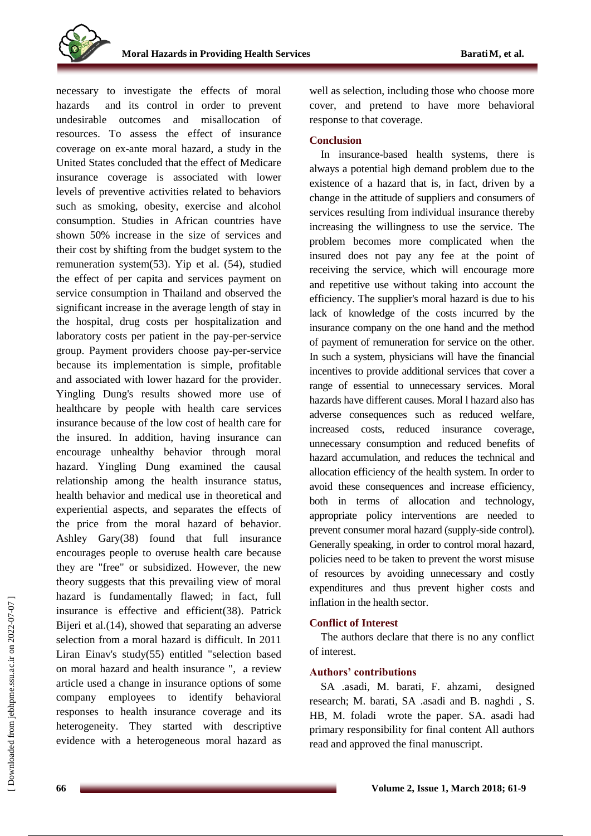

necessary to investigate the effects of moral hazards and its control in order to prevent undesirable outcomes and misallocation of resources. To assess the effect of insurance coverage on ex-ante moral hazard, a study in the United States concluded that the effect of Medicare insurance coverage is associated with lower levels of preventive activities related to behaviors such as smoking, obesity, exercise and alcohol consumption. Studies in African countries have shown 50% increase in the size of services and their cost by shifting from the budget system to the remuneration system(53). Yip et al. (54), studied the effect of per capita and services payment on service consumption in Thailand and observed the significant increase in the average length of stay in the hospital, drug costs per hospitalization and laboratory costs per patient in the pay-per-service group. Payment providers choose pay-per-service because its implementation is simple, profitable and associated with lower hazard for the provider. Yingling Dung's results showed more use of healthcare by people with health care services insurance because of the low cost of health care for the insured. In addition, having insurance can encourage unhealthy behavior through moral hazard. Yingling Dung examined the causal relationship among the health insurance status, health behavior and medical use in theoretical and experiential aspects, and separates the effects of the price from the moral hazard of behavior. Ashley Gary(38) found that full insurance encourages people to overuse health care because they are "free" or subsidized. However, the new theory suggests that this prevailing view of moral hazard is fundamentally flawed; in fact, full insurance is effective and efficient(38). Patrick Bijeri et al.(14), showed that separating an adverse selection from a moral hazard is difficult. In 2011 Liran Einav's study(55) entitled "selection based on moral hazard and health insurance ", a review article used a change in insurance options of some company employees to identify behavioral responses to health insurance coverage and its heterogeneity. They started with descriptive evidence with a heterogeneous moral hazard as well as selection, including those who choose more cover, and pretend to have more behavioral response to that coverage.

## **Conclusion**

In insurance-based health systems, there is always a potential high demand problem due to the existence of a hazard that is, in fact, driven by a change in the attitude of suppliers and consumers of services resulting from individual insurance thereby increasing the willingness to use the service. The problem becomes more complicated when the insured does not pay any fee at the point of receiving the service, which will encourage more and repetitive use without taking into account the efficiency. The supplier's moral hazard is due to his lack of knowledge of the costs incurred by the insurance company on the one hand and the method of payment of remuneration for service on the other. In such a system, physicians will have the financial incentives to provide additional services that cover a range of essential to unnecessary services. Moral hazards have different causes. Moral l hazard also has adverse consequences such as reduced welfare, increased costs, reduced insurance coverage, unnecessary consumption and reduced benefits of hazard accumulation, and reduces the technical and allocation efficiency of the health system. In order to avoid these consequences and increase efficiency, both in terms of allocation and technology, appropriate policy interventions are needed to prevent consumer moral hazard (supply-side control). Generally speaking, in order to control moral hazard, policies need to be taken to prevent the worst misuse of resources by avoiding unnecessary and costly expenditures and thus prevent higher costs and inflation in the health sector.

### **Conflict of Interest**

The authors declare that there is no any conflict of interest.

# **Authors' contributions**

SA .asadi, M. barati, F. ahzami, designed research; M. barati, SA .asadi and B. naghdi , S. HB, M. foladi wrote the paper. SA. asadi had primary responsibility for final content All authors read and approved the final manuscript.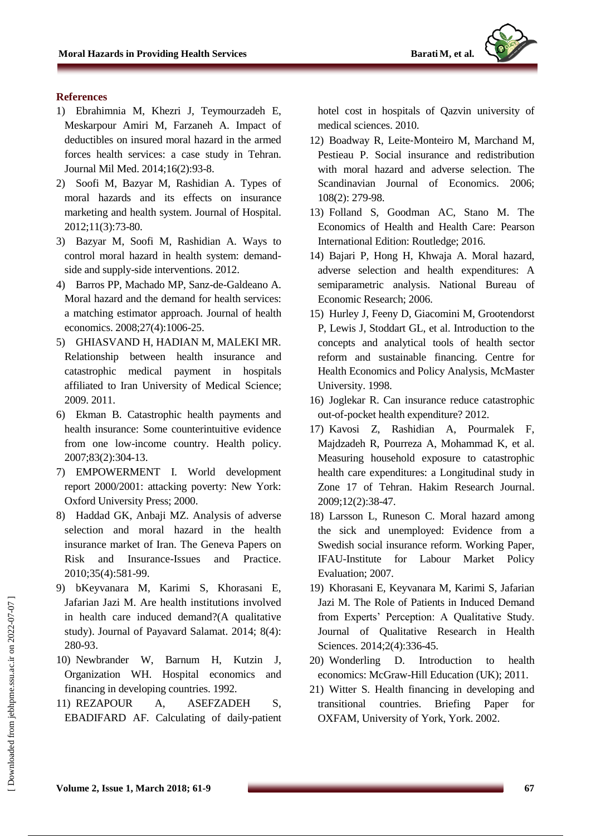# **References**

- 1) Ebrahimnia M, Khezri J, Teymourzadeh E, Meskarpour Amiri M, Farzaneh A. Impact of deductibles on insured moral hazard in the armed forces health services: a case study in Tehran. Journal Mil Med. 2014;16(2):93-8.
- 2) Soofi M, Bazyar M, Rashidian A. Types of moral hazards and its effects on insurance marketing and health system. Journal of Hospital. 2012;11(3):73-80.
- 3) Bazyar M, Soofi M, Rashidian A. Ways to control moral hazard in health system: demandside and supply-side interventions. 2012.
- 4) Barros PP, Machado MP, Sanz-de-Galdeano A. Moral hazard and the demand for health services: a matching estimator approach. Journal of health economics. 2008;27(4):1006-25.
- 5) GHIASVAND H, HADIAN M, MALEKI MR. Relationship between health insurance and catastrophic medical payment in hospitals affiliated to Iran University of Medical Science; 2009. 2011.
- 6) Ekman B. Catastrophic health payments and health insurance: Some counterintuitive evidence from one low-income country. Health policy. 2007;83(2):304-13.
- 7) EMPOWERMENT I. World development report 2000/2001: attacking poverty: New York: Oxford University Press; 2000.
- 8) Haddad GK, Anbaji MZ. Analysis of adverse selection and moral hazard in the health insurance market of Iran. The Geneva Papers on Risk and Insurance-Issues and Practice. 2010;35(4):581-99.
- 9) bKeyvanara M, Karimi S, Khorasani E, Jafarian Jazi M. Are health institutions involved in health care induced demand?(A qualitative study). Journal of Payavard Salamat. 2014; 8(4): 280-93.
- 10) Newbrander W, Barnum H, Kutzin J, Organization WH. Hospital economics and financing in developing countries. 1992.
- 11) REZAPOUR A, ASEFZADEH S, EBADIFARD AF. Calculating of daily-patient

hotel cost in hospitals of Qazvin university of medical sciences. 2010.

- 12) Boadway R, Leite‐Monteiro M, Marchand M, Pestieau P. Social insurance and redistribution with moral hazard and adverse selection. The Scandinavian Journal of Economics. 2006; 108(2): 279-98.
- 13) Folland S, Goodman AC, Stano M. The Economics of Health and Health Care: Pearson International Edition: Routledge; 2016.
- 14) Bajari P, Hong H, Khwaja A. Moral hazard, adverse selection and health expenditures: A semiparametric analysis. National Bureau of Economic Research; 2006.
- 15) Hurley J, Feeny D, Giacomini M, Grootendorst P, Lewis J, Stoddart GL, et al. Introduction to the concepts and analytical tools of health sector reform and sustainable financing. Centre for Health Economics and Policy Analysis, McMaster University. 1998.
- 16) Joglekar R. Can insurance reduce catastrophic out-of-pocket health expenditure? 2012.
- 17) Kavosi Z, Rashidian A, Pourmalek F, Majdzadeh R, Pourreza A, Mohammad K, et al. Measuring household exposure to catastrophic health care expenditures: a Longitudinal study in Zone 17 of Tehran. Hakim Research Journal. 2009;12(2):38-47.
- 18) Larsson L, Runeson C. Moral hazard among the sick and unemployed: Evidence from a Swedish social insurance reform. Working Paper, IFAU-Institute for Labour Market Policy Evaluation; 2007.
- 19) Khorasani E, Keyvanara M, Karimi S, Jafarian Jazi M. The Role of Patients in Induced Demand from Experts' Perception: A Qualitative Study. Journal of Qualitative Research in Health Sciences. 2014;2(4):336-45.
- 20) Wonderling D. Introduction to health economics: McGraw-Hill Education (UK); 2011.
- 21) Witter S. Health financing in developing and transitional countries. Briefing Paper for OXFAM, University of York, York. 2002.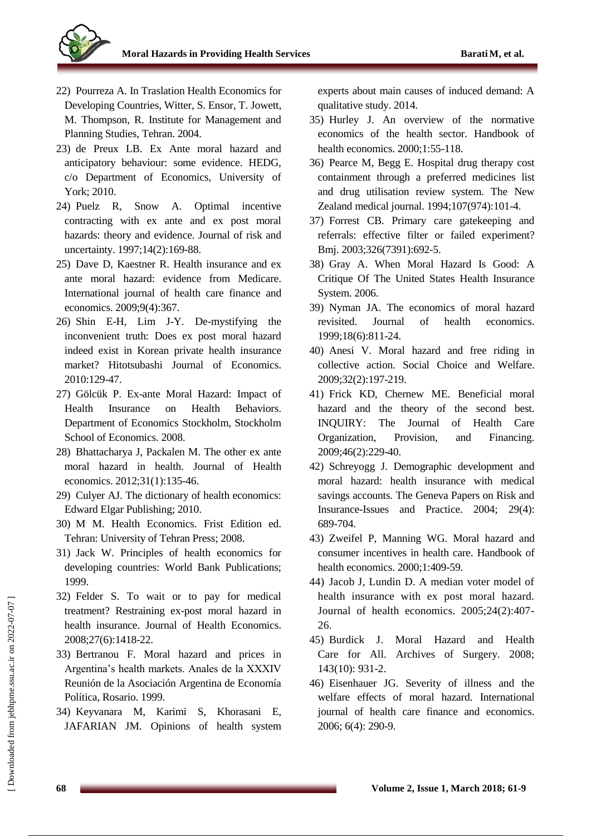

- 22) Pourreza A. In Traslation Health Economics for Developing Countries, Witter, S. Ensor, T. Jowett, M. Thompson, R. Institute for Management and Planning Studies, Tehran. 2004.
- 23) de Preux LB. Ex Ante moral hazard and anticipatory behaviour: some evidence. HEDG, c/o Department of Economics, University of York; 2010.
- 24) Puelz R, Snow A. Optimal incentive contracting with ex ante and ex post moral hazards: theory and evidence. Journal of risk and uncertainty. 1997;14(2):169-88.
- 25) Dave D, Kaestner R. Health insurance and ex ante moral hazard: evidence from Medicare. International journal of health care finance and economics. 2009;9(4):367.
- 26) Shin E-H, Lim J-Y. De-mystifying the inconvenient truth: Does ex post moral hazard indeed exist in Korean private health insurance market? Hitotsubashi Journal of Economics. 2010:129-47.
- 27) Gölcük P. Ex-ante Moral Hazard: Impact of Health Insurance on Health Behaviors. Department of Economics Stockholm, Stockholm School of Economics. 2008.
- 28) Bhattacharya J, Packalen M. The other ex ante moral hazard in health. Journal of Health economics. 2012;31(1):135-46.
- 29) Culyer AJ. The dictionary of health economics: Edward Elgar Publishing; 2010.
- 30) M M. Health Economics. Frist Edition ed. Tehran: University of Tehran Press; 2008.
- 31) Jack W. Principles of health economics for developing countries: World Bank Publications; 1999.
- 32) Felder S. To wait or to pay for medical treatment? Restraining ex-post moral hazard in health insurance. Journal of Health Economics. 2008;27(6):1418-22.
- 33) Bertranou F. Moral hazard and prices in Argentina's health markets. Anales de la XXXIV Reunión de la Asociación Argentina de Economía Política, Rosario. 1999.
- 34) Keyvanara M, Karimi S, Khorasani E, JAFARIAN JM. Opinions of health system

experts about main causes of induced demand: A qualitative study. 2014.

- 35) Hurley J. An overview of the normative economics of the health sector. Handbook of health economics. 2000;1:55-118.
- 36) Pearce M, Begg E. Hospital drug therapy cost containment through a preferred medicines list and drug utilisation review system. The New Zealand medical journal. 1994;107(974):101-4.
- 37) Forrest CB. Primary care gatekeeping and referrals: effective filter or failed experiment? Bmj. 2003;326(7391):692-5.
- 38) Gray A. When Moral Hazard Is Good: A Critique Of The United States Health Insurance System. 2006.
- 39) Nyman JA. The economics of moral hazard revisited. Journal of health economics. 1999;18(6):811-24.
- 40) Anesi V. Moral hazard and free riding in collective action. Social Choice and Welfare. 2009;32(2):197-219.
- 41) Frick KD, Chernew ME. Beneficial moral hazard and the theory of the second best. INQUIRY: The Journal of Health Care Organization, Provision, and Financing. 2009;46(2):229-40.
- 42) Schreyogg J. Demographic development and moral hazard: health insurance with medical savings accounts. The Geneva Papers on Risk and Insurance-Issues and Practice. 2004; 29(4): 689-704.
- 43) Zweifel P, Manning WG. Moral hazard and consumer incentives in health care. Handbook of health economics. 2000;1:409-59.
- 44) Jacob J, Lundin D. A median voter model of health insurance with ex post moral hazard. Journal of health economics. 2005;24(2):407- 26.
- 45) Burdick J. Moral Hazard and Health Care for All. Archives of Surgery. 2008; 143(10): 931-2.
- 46) Eisenhauer JG. Severity of illness and the welfare effects of moral hazard. International journal of health care finance and economics. 2006; 6(4): 290-9.